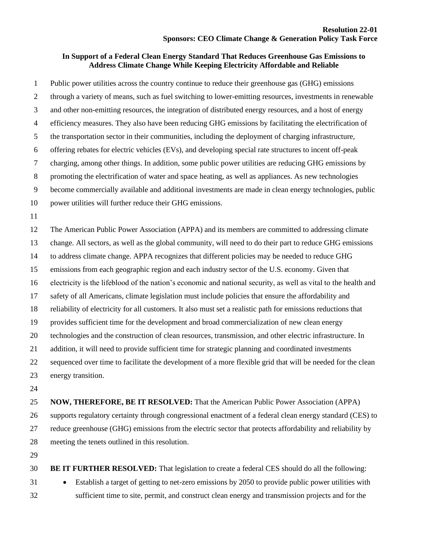## **In Support of a Federal Clean Energy Standard That Reduces Greenhouse Gas Emissions to Address Climate Change While Keeping Electricity Affordable and Reliable**

 Public power utilities across the country continue to reduce their greenhouse gas (GHG) emissions through a variety of means, such as fuel switching to lower-emitting resources, investments in renewable and other non-emitting resources, the integration of distributed energy resources, and a host of energy efficiency measures. They also have been reducing GHG emissions by facilitating the electrification of the transportation sector in their communities, including the deployment of charging infrastructure, offering rebates for electric vehicles (EVs), and developing special rate structures to incent off-peak charging, among other things. In addition, some public power utilities are reducing GHG emissions by promoting the electrification of water and space heating, as well as appliances. As new technologies become commercially available and additional investments are made in clean energy technologies, public power utilities will further reduce their GHG emissions. The American Public Power Association (APPA) and its members are committed to addressing climate change. All sectors, as well as the global community, will need to do their part to reduce GHG emissions to address climate change. APPA recognizes that different policies may be needed to reduce GHG emissions from each geographic region and each industry sector of the U.S. economy. Given that electricity is the lifeblood of the nation's economic and national security, as well as vital to the health and safety of all Americans, climate legislation must include policies that ensure the affordability and reliability of electricity for all customers. It also must set a realistic path for emissions reductions that provides sufficient time for the development and broad commercialization of new clean energy technologies and the construction of clean resources, transmission, and other electric infrastructure. In addition, it will need to provide sufficient time for strategic planning and coordinated investments sequenced over time to facilitate the development of a more flexible grid that will be needed for the clean energy transition.

 **NOW, THEREFORE, BE IT RESOLVED:** That the American Public Power Association (APPA) supports regulatory certainty through congressional enactment of a federal clean energy standard (CES) to reduce greenhouse (GHG) emissions from the electric sector that protects affordability and reliability by meeting the tenets outlined in this resolution.

 **BE IT FURTHER RESOLVED:** That legislation to create a federal CES should do all the following: • Establish a target of getting to net-zero emissions by 2050 to provide public power utilities with sufficient time to site, permit, and construct clean energy and transmission projects and for the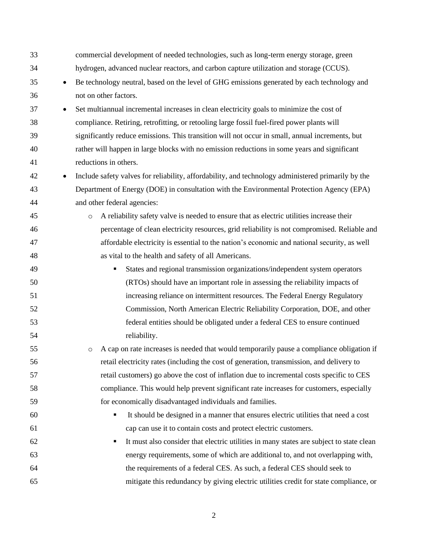| 33 | commercial development of needed technologies, such as long-term energy storage, green                          |
|----|-----------------------------------------------------------------------------------------------------------------|
| 34 | hydrogen, advanced nuclear reactors, and carbon capture utilization and storage (CCUS).                         |
| 35 | Be technology neutral, based on the level of GHG emissions generated by each technology and<br>$\bullet$        |
| 36 | not on other factors.                                                                                           |
| 37 | Set multiannual incremental increases in clean electricity goals to minimize the cost of<br>$\bullet$           |
| 38 | compliance. Retiring, retrofitting, or retooling large fossil fuel-fired power plants will                      |
| 39 | significantly reduce emissions. This transition will not occur in small, annual increments, but                 |
| 40 | rather will happen in large blocks with no emission reductions in some years and significant                    |
| 41 | reductions in others.                                                                                           |
| 42 | Include safety valves for reliability, affordability, and technology administered primarily by the<br>$\bullet$ |
| 43 | Department of Energy (DOE) in consultation with the Environmental Protection Agency (EPA)                       |
| 44 | and other federal agencies:                                                                                     |
| 45 | A reliability safety valve is needed to ensure that as electric utilities increase their<br>$\circ$             |
| 46 | percentage of clean electricity resources, grid reliability is not compromised. Reliable and                    |
| 47 | affordable electricity is essential to the nation's economic and national security, as well                     |
| 48 | as vital to the health and safety of all Americans.                                                             |
| 49 | States and regional transmission organizations/independent system operators<br>٠                                |
| 50 | (RTOs) should have an important role in assessing the reliability impacts of                                    |
| 51 | increasing reliance on intermittent resources. The Federal Energy Regulatory                                    |
| 52 | Commission, North American Electric Reliability Corporation, DOE, and other                                     |
| 53 | federal entities should be obligated under a federal CES to ensure continued                                    |
| 54 | reliability.                                                                                                    |
| 55 | A cap on rate increases is needed that would temporarily pause a compliance obligation if<br>$\circ$            |
| 56 | retail electricity rates (including the cost of generation, transmission, and delivery to                       |
| 57 | retail customers) go above the cost of inflation due to incremental costs specific to CES                       |
| 58 | compliance. This would help prevent significant rate increases for customers, especially                        |
| 59 | for economically disadvantaged individuals and families.                                                        |
| 60 | It should be designed in a manner that ensures electric utilities that need a cost<br>٠                         |
| 61 | cap can use it to contain costs and protect electric customers.                                                 |
| 62 | It must also consider that electric utilities in many states are subject to state clean<br>٠                    |
| 63 | energy requirements, some of which are additional to, and not overlapping with,                                 |
| 64 | the requirements of a federal CES. As such, a federal CES should seek to                                        |
| 65 | mitigate this redundancy by giving electric utilities credit for state compliance, or                           |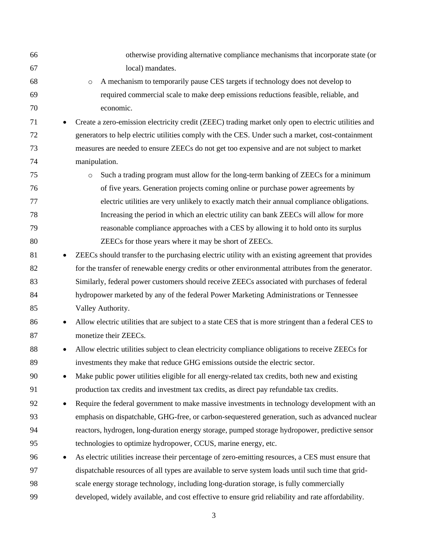| 66 |           | otherwise providing alternative compliance mechanisms that incorporate state (or                      |
|----|-----------|-------------------------------------------------------------------------------------------------------|
| 67 |           | local) mandates.                                                                                      |
| 68 |           | A mechanism to temporarily pause CES targets if technology does not develop to<br>$\circ$             |
| 69 |           | required commercial scale to make deep emissions reductions feasible, reliable, and                   |
| 70 |           | economic.                                                                                             |
| 71 |           | Create a zero-emission electricity credit (ZEEC) trading market only open to electric utilities and   |
| 72 |           | generators to help electric utilities comply with the CES. Under such a market, cost-containment      |
| 73 |           | measures are needed to ensure ZEECs do not get too expensive and are not subject to market            |
| 74 |           | manipulation.                                                                                         |
| 75 |           | Such a trading program must allow for the long-term banking of ZEECs for a minimum<br>$\circ$         |
| 76 |           | of five years. Generation projects coming online or purchase power agreements by                      |
| 77 |           | electric utilities are very unlikely to exactly match their annual compliance obligations.            |
| 78 |           | Increasing the period in which an electric utility can bank ZEECs will allow for more                 |
| 79 |           | reasonable compliance approaches with a CES by allowing it to hold onto its surplus                   |
| 80 |           | ZEECs for those years where it may be short of ZEECs.                                                 |
| 81 |           | ZEECs should transfer to the purchasing electric utility with an existing agreement that provides     |
| 82 |           | for the transfer of renewable energy credits or other environmental attributes from the generator.    |
| 83 |           | Similarly, federal power customers should receive ZEECs associated with purchases of federal          |
| 84 |           | hydropower marketed by any of the federal Power Marketing Administrations or Tennessee                |
| 85 |           | Valley Authority.                                                                                     |
| 86 | $\bullet$ | Allow electric utilities that are subject to a state CES that is more stringent than a federal CES to |
| 87 |           | monetize their ZEECs.                                                                                 |
| 88 |           | Allow electric utilities subject to clean electricity compliance obligations to receive ZEECs for     |
| 89 |           | investments they make that reduce GHG emissions outside the electric sector.                          |
| 90 |           | Make public power utilities eligible for all energy-related tax credits, both new and existing        |
| 91 |           | production tax credits and investment tax credits, as direct pay refundable tax credits.              |
| 92 |           | Require the federal government to make massive investments in technology development with an          |
| 93 |           | emphasis on dispatchable, GHG-free, or carbon-sequestered generation, such as advanced nuclear        |
| 94 |           | reactors, hydrogen, long-duration energy storage, pumped storage hydropower, predictive sensor        |
| 95 |           | technologies to optimize hydropower, CCUS, marine energy, etc.                                        |
| 96 |           | As electric utilities increase their percentage of zero-emitting resources, a CES must ensure that    |
| 97 |           | dispatchable resources of all types are available to serve system loads until such time that grid-    |
| 98 |           | scale energy storage technology, including long-duration storage, is fully commercially               |
| 99 |           | developed, widely available, and cost effective to ensure grid reliability and rate affordability.    |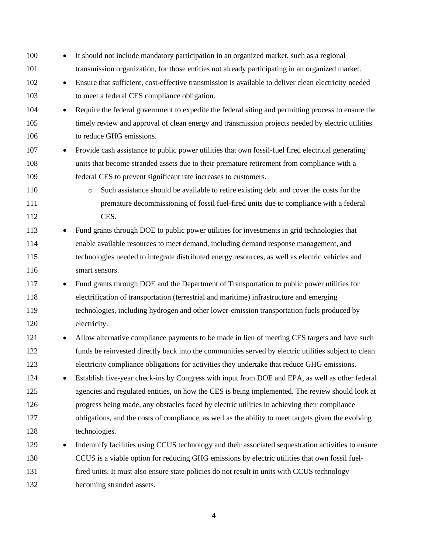| 100        | $\bullet$ | It should not include mandatory participation in an organized market, such as a regional             |
|------------|-----------|------------------------------------------------------------------------------------------------------|
| 101        |           | transmission organization, for those entities not already participating in an organized market.      |
| 102        | $\bullet$ | Ensure that sufficient, cost-effective transmission is available to deliver clean electricity needed |
| 103        |           | to meet a federal CES compliance obligation.                                                         |
| 104        | $\bullet$ | Require the federal government to expedite the federal siting and permitting process to ensure the   |
| 105        |           | timely review and approval of clean energy and transmission projects needed by electric utilities    |
| 106        |           | to reduce GHG emissions.                                                                             |
| 107        | $\bullet$ | Provide cash assistance to public power utilities that own fossil-fuel fired electrical generating   |
| 108        |           | units that become stranded assets due to their premature retirement from compliance with a           |
| 109        |           | federal CES to prevent significant rate increases to customers.                                      |
| 110        |           | Such assistance should be available to retire existing debt and cover the costs for the<br>$\circ$   |
| 111<br>112 |           | premature decommissioning of fossil fuel-fired units due to compliance with a federal<br>CES.        |
| 113        |           | Fund grants through DOE to public power utilities for investments in grid technologies that          |
| 114        |           | enable available resources to meet demand, including demand response management, and                 |
| 115        |           | technologies needed to integrate distributed energy resources, as well as electric vehicles and      |
| 116        |           | smart sensors.                                                                                       |
| 117        | $\bullet$ | Fund grants through DOE and the Department of Transportation to public power utilities for           |
| 118        |           | electrification of transportation (terrestrial and maritime) infrastructure and emerging             |
| 119        |           | technologies, including hydrogen and other lower-emission transportation fuels produced by           |
| 120        |           | electricity.                                                                                         |
| 121        | $\bullet$ | Allow alternative compliance payments to be made in lieu of meeting CES targets and have such        |
| 122        |           | funds be reinvested directly back into the communities served by electric utilities subject to clean |
| 123        |           | electricity compliance obligations for activities they undertake that reduce GHG emissions.          |
| 124        |           | Establish five-year check-ins by Congress with input from DOE and EPA, as well as other federal      |
| 125        |           | agencies and regulated entities, on how the CES is being implemented. The review should look at      |
| 126        |           | progress being made, any obstacles faced by electric utilities in achieving their compliance         |
| 127        |           | obligations, and the costs of compliance, as well as the ability to meet targets given the evolving  |
| 128        |           | technologies.                                                                                        |
| 129        | $\bullet$ | Indemnify facilities using CCUS technology and their associated sequestration activities to ensure   |
| 130        |           | CCUS is a viable option for reducing GHG emissions by electric utilities that own fossil fuel-       |
| 131        |           | fired units. It must also ensure state policies do not result in units with CCUS technology          |
| 132        |           | becoming stranded assets.                                                                            |